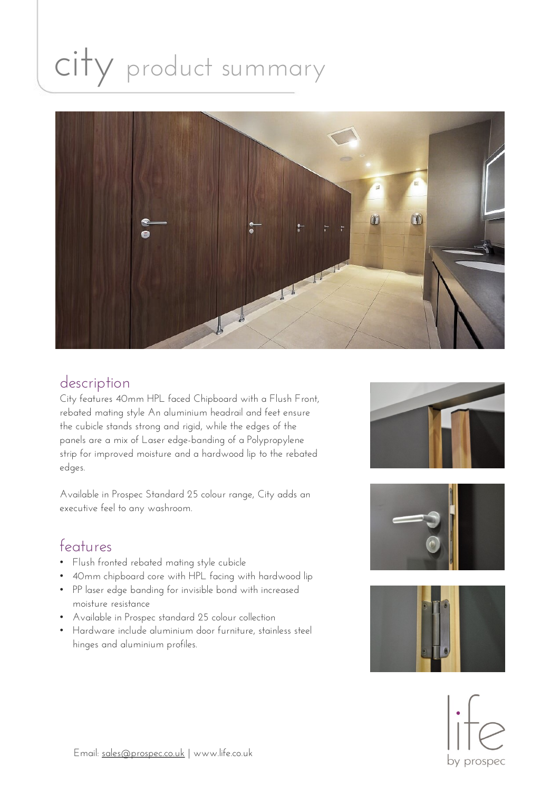# city product summary



#### description

City features 40mm HPL faced Chipboard with a Flush Front, rebated mating style An aluminium headrail and feet ensure the cubicle stands strong and rigid, while the edges of the panels are a mix of Laser edge-banding of a Polypropylene strip for improved moisture and a hardwood lip to the rebated edges.

Available in Prospec Standard 25 colour range, City adds an executive feel to any washroom.

### features

- Flush fronted rebated mating style cubicle
- 40mm chipboard core with HPL facing with hardwood lip
- PP laser edge banding for invisible bond with increased moisture resistance
- Available in Prospec standard 25 colour collection
- Hardware include aluminium door furniture, stainless steel hinges and aluminium profiles.